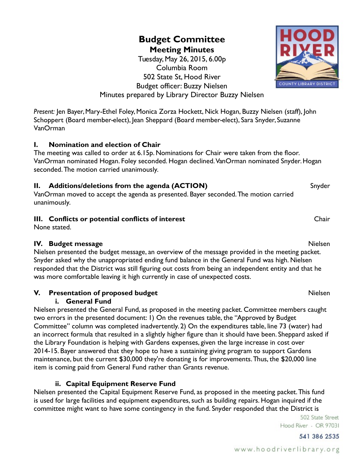## **Meeting Minutes** Tuesday, May 26, 2015, 6.00p Columbia Room 502 State St, Hood River Budget officer: Buzzy Nielsen Minutes prepared by Library Director Buzzy Nielsen

**Budget Committee**

*Present:* Jen Bayer, Mary-Ethel Foley, Monica Zorza Hockett, Nick Hogan, Buzzy Nielsen (staff), John Schoppert (Board member-elect), Jean Sheppard (Board member-elect), Sara Snyder, Suzanne VanOrman

# **I. Nomination and election of Chair**

The meeting was called to order at 6.15p. Nominations for Chair were taken from the floor. VanOrman nominated Hogan. Foley seconded. Hogan declined. VanOrman nominated Snyder. Hogan seconded. The motion carried unanimously.

# **II. Additions/deletions from the agenda (ACTION)** Snyder

VanOrman moved to accept the agenda as presented. Bayer seconded. The motion carried unanimously.

# **III.** Conflicts or potential conflicts of interest Chair Chair Chair

None stated.

## **IV. Budget message** Nielsen

Nielsen presented the budget message, an overview of the message provided in the meeting packet. Snyder asked why the unappropriated ending fund balance in the General Fund was high. Nielsen responded that the District was still figuring out costs from being an independent entity and that he was more comfortable leaving it high currently in case of unexpected costs.

# **V. Presentation of proposed budget** Nielsen

#### **i. General Fund**

Nielsen presented the General Fund, as proposed in the meeting packet. Committee members caught two errors in the presented document: 1) On the revenues table, the "Approved by Budget Committee" column was completed inadvertently. 2) On the expenditures table, line 73 (water) had an incorrect formula that resulted in a slightly higher figure than it should have been. Sheppard asked if the Library Foundation is helping with Gardens expenses, given the large increase in cost over 2014-15. Bayer answered that they hope to have a sustaining giving program to support Gardens maintenance, but the current \$30,000 they're donating is for improvements. Thus, the \$20,000 line item is coming paid from General Fund rather than Grants revenue.

## **ii. Capital Equipment Reserve Fund**

Nielsen presented the Capital Equipment Reserve Fund, as proposed in the meeting packet. This fund is used for large facilities and equipment expenditures, such as building repairs. Hogan inquired if the committee might want to have some contingency in the fund. Snyder responded that the District is

> 502 State Street Hood River - OR 97031

> > 541 386 2535